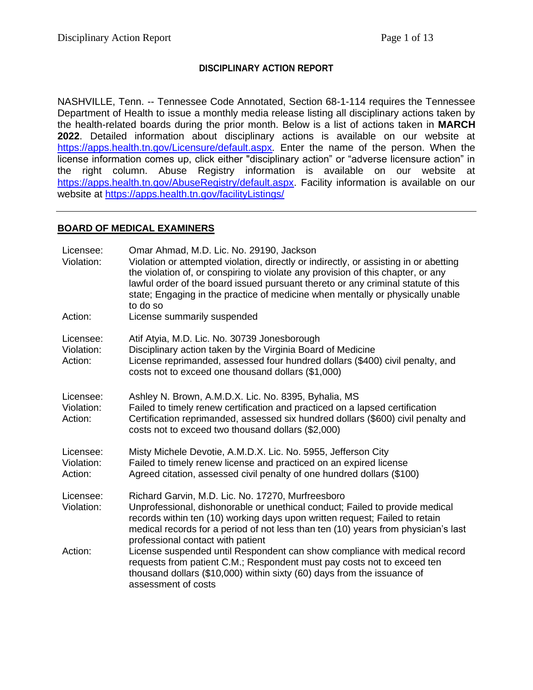### **DISCIPLINARY ACTION REPORT**

NASHVILLE, Tenn. -- Tennessee Code Annotated, Section 68-1-114 requires the Tennessee Department of Health to issue a monthly media release listing all disciplinary actions taken by the health-related boards during the prior month. Below is a list of actions taken in **MARCH 2022**. Detailed information about disciplinary actions is available on our website at <https://apps.health.tn.gov/Licensure/default.aspx>*.* Enter the name of the person. When the license information comes up, click either "disciplinary action" or "adverse licensure action" in the right column. Abuse Registry information is available on our website at [https://apps.health.tn.gov/AbuseRegistry/default.aspx.](https://apps.health.tn.gov/AbuseRegistry/default.aspx) Facility information is available on our website at<https://apps.health.tn.gov/facilityListings/>

### **BOARD OF MEDICAL EXAMINERS**

| Licensee:<br>Violation:            | Omar Ahmad, M.D. Lic. No. 29190, Jackson<br>Violation or attempted violation, directly or indirectly, or assisting in or abetting<br>the violation of, or conspiring to violate any provision of this chapter, or any<br>lawful order of the board issued pursuant thereto or any criminal statute of this<br>state; Engaging in the practice of medicine when mentally or physically unable<br>to do so |
|------------------------------------|----------------------------------------------------------------------------------------------------------------------------------------------------------------------------------------------------------------------------------------------------------------------------------------------------------------------------------------------------------------------------------------------------------|
| Action:                            | License summarily suspended                                                                                                                                                                                                                                                                                                                                                                              |
| Licensee:<br>Violation:<br>Action: | Atif Atyia, M.D. Lic. No. 30739 Jonesborough<br>Disciplinary action taken by the Virginia Board of Medicine<br>License reprimanded, assessed four hundred dollars (\$400) civil penalty, and<br>costs not to exceed one thousand dollars (\$1,000)                                                                                                                                                       |
| Licensee:<br>Violation:<br>Action: | Ashley N. Brown, A.M.D.X. Lic. No. 8395, Byhalia, MS<br>Failed to timely renew certification and practiced on a lapsed certification<br>Certification reprimanded, assessed six hundred dollars (\$600) civil penalty and<br>costs not to exceed two thousand dollars (\$2,000)                                                                                                                          |
| Licensee:<br>Violation:<br>Action: | Misty Michele Devotie, A.M.D.X. Lic. No. 5955, Jefferson City<br>Failed to timely renew license and practiced on an expired license<br>Agreed citation, assessed civil penalty of one hundred dollars (\$100)                                                                                                                                                                                            |
| Licensee:<br>Violation:            | Richard Garvin, M.D. Lic. No. 17270, Murfreesboro<br>Unprofessional, dishonorable or unethical conduct; Failed to provide medical<br>records within ten (10) working days upon written request; Failed to retain<br>medical records for a period of not less than ten (10) years from physician's last<br>professional contact with patient                                                              |
| Action:                            | License suspended until Respondent can show compliance with medical record<br>requests from patient C.M.; Respondent must pay costs not to exceed ten<br>thousand dollars (\$10,000) within sixty (60) days from the issuance of<br>assessment of costs                                                                                                                                                  |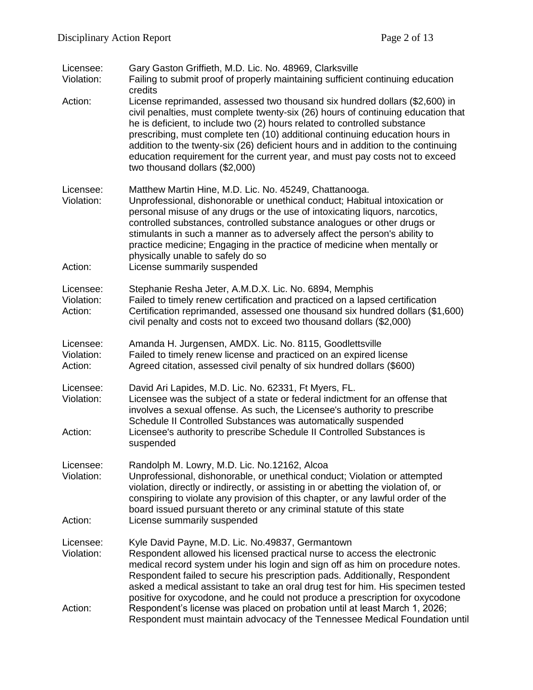| Licensee:<br>Violation:            | Gary Gaston Griffieth, M.D. Lic. No. 48969, Clarksville<br>Failing to submit proof of properly maintaining sufficient continuing education<br>credits                                                                                                                                                                                                                                                                                                                                                                                |
|------------------------------------|--------------------------------------------------------------------------------------------------------------------------------------------------------------------------------------------------------------------------------------------------------------------------------------------------------------------------------------------------------------------------------------------------------------------------------------------------------------------------------------------------------------------------------------|
| Action:                            | License reprimanded, assessed two thousand six hundred dollars (\$2,600) in<br>civil penalties, must complete twenty-six (26) hours of continuing education that<br>he is deficient, to include two (2) hours related to controlled substance<br>prescribing, must complete ten (10) additional continuing education hours in<br>addition to the twenty-six (26) deficient hours and in addition to the continuing<br>education requirement for the current year, and must pay costs not to exceed<br>two thousand dollars (\$2,000) |
| Licensee:<br>Violation:<br>Action: | Matthew Martin Hine, M.D. Lic. No. 45249, Chattanooga.<br>Unprofessional, dishonorable or unethical conduct; Habitual intoxication or<br>personal misuse of any drugs or the use of intoxicating liquors, narcotics,<br>controlled substances, controlled substance analogues or other drugs or<br>stimulants in such a manner as to adversely affect the person's ability to<br>practice medicine; Engaging in the practice of medicine when mentally or<br>physically unable to safely do so<br>License summarily suspended        |
| Licensee:<br>Violation:<br>Action: | Stephanie Resha Jeter, A.M.D.X. Lic. No. 6894, Memphis<br>Failed to timely renew certification and practiced on a lapsed certification<br>Certification reprimanded, assessed one thousand six hundred dollars (\$1,600)<br>civil penalty and costs not to exceed two thousand dollars (\$2,000)                                                                                                                                                                                                                                     |
| Licensee:<br>Violation:<br>Action: | Amanda H. Jurgensen, AMDX. Lic. No. 8115, Goodlettsville<br>Failed to timely renew license and practiced on an expired license<br>Agreed citation, assessed civil penalty of six hundred dollars (\$600)                                                                                                                                                                                                                                                                                                                             |
| Licensee:<br>Violation:<br>Action: | David Ari Lapides, M.D. Lic. No. 62331, Ft Myers, FL.<br>Licensee was the subject of a state or federal indictment for an offense that<br>involves a sexual offense. As such, the Licensee's authority to prescribe<br>Schedule II Controlled Substances was automatically suspended<br>Licensee's authority to prescribe Schedule II Controlled Substances is<br>suspended                                                                                                                                                          |
| Licensee:<br>Violation:            | Randolph M. Lowry, M.D. Lic. No.12162, Alcoa<br>Unprofessional, dishonorable, or unethical conduct; Violation or attempted<br>violation, directly or indirectly, or assisting in or abetting the violation of, or<br>conspiring to violate any provision of this chapter, or any lawful order of the<br>board issued pursuant thereto or any criminal statute of this state                                                                                                                                                          |
| Action:                            | License summarily suspended                                                                                                                                                                                                                                                                                                                                                                                                                                                                                                          |
| Licensee:<br>Violation:            | Kyle David Payne, M.D. Lic. No.49837, Germantown<br>Respondent allowed his licensed practical nurse to access the electronic<br>medical record system under his login and sign off as him on procedure notes.<br>Respondent failed to secure his prescription pads. Additionally, Respondent<br>asked a medical assistant to take an oral drug test for him. His specimen tested<br>positive for oxycodone, and he could not produce a prescription for oxycodone                                                                    |
| Action:                            | Respondent's license was placed on probation until at least March 1, 2026;<br>Respondent must maintain advocacy of the Tennessee Medical Foundation until                                                                                                                                                                                                                                                                                                                                                                            |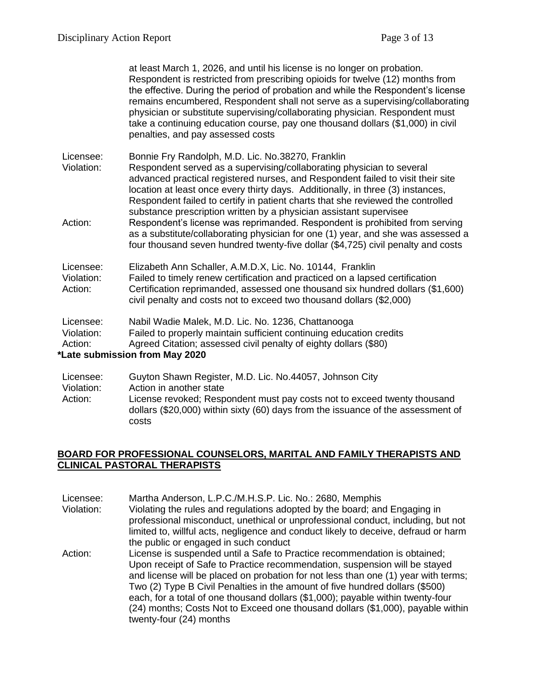at least March 1, 2026, and until his license is no longer on probation. Respondent is restricted from prescribing opioids for twelve (12) months from the effective. During the period of probation and while the Respondent's license remains encumbered, Respondent shall not serve as a supervising/collaborating physician or substitute supervising/collaborating physician. Respondent must take a continuing education course, pay one thousand dollars (\$1,000) in civil penalties, and pay assessed costs

Licensee: Bonnie Fry Randolph, M.D. Lic. No.38270, Franklin

Violation: Respondent served as a supervising/collaborating physician to several advanced practical registered nurses, and Respondent failed to visit their site location at least once every thirty days. Additionally, in three (3) instances, Respondent failed to certify in patient charts that she reviewed the controlled substance prescription written by a physician assistant supervisee

Action: Respondent's license was reprimanded. Respondent is prohibited from serving as a substitute/collaborating physician for one (1) year, and she was assessed a four thousand seven hundred twenty-five dollar (\$4,725) civil penalty and costs

Licensee: Elizabeth Ann Schaller, A.M.D.X, Lic. No. 10144, Franklin Violation: Failed to timely renew certification and practiced on a lapsed certification Action: Certification reprimanded, assessed one thousand six hundred dollars (\$1,600) civil penalty and costs not to exceed two thousand dollars (\$2,000)

Licensee: Nabil Wadie Malek, M.D. Lic. No. 1236, Chattanooga Violation: Failed to properly maintain sufficient continuing education credits Action: Agreed Citation; assessed civil penalty of eighty dollars (\$80)

### **\*Late submission from May 2020**

Licensee: Guyton Shawn Register, M.D. Lic. No.44057, Johnson City Violation: Action in another state Action: License revoked; Respondent must pay costs not to exceed twenty thousand dollars (\$20,000) within sixty (60) days from the issuance of the assessment of costs

### **BOARD FOR PROFESSIONAL COUNSELORS, MARITAL AND FAMILY THERAPISTS AND CLINICAL PASTORAL THERAPISTS**

Licensee: Martha Anderson, L.P.C./M.H.S.P. Lic. No.: 2680, Memphis Violation: Violating the rules and regulations adopted by the board; and Engaging in professional misconduct, unethical or unprofessional conduct, including, but not limited to, willful acts, negligence and conduct likely to deceive, defraud or harm the public or engaged in such conduct Action: License is suspended until a Safe to Practice recommendation is obtained; Upon receipt of Safe to Practice recommendation, suspension will be stayed and license will be placed on probation for not less than one (1) year with terms; Two (2) Type B Civil Penalties in the amount of five hundred dollars (\$500) each, for a total of one thousand dollars (\$1,000); payable within twenty-four (24) months; Costs Not to Exceed one thousand dollars (\$1,000), payable within twenty-four (24) months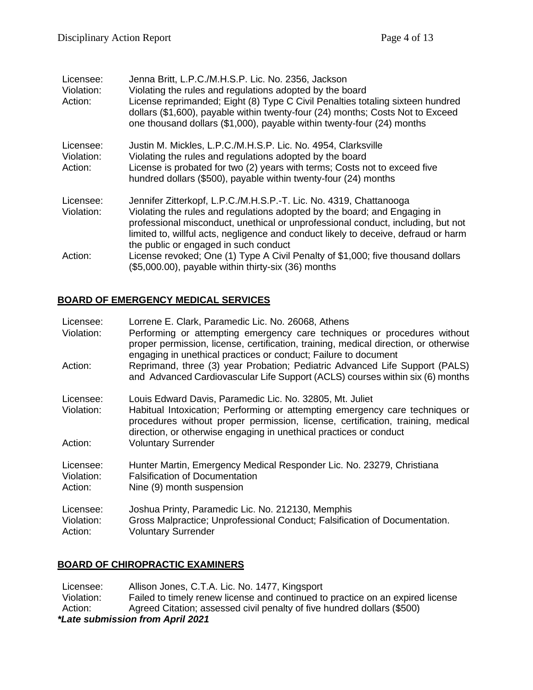| Licensee:<br>Violation:<br>Action: | Jenna Britt, L.P.C./M.H.S.P. Lic. No. 2356, Jackson<br>Violating the rules and regulations adopted by the board<br>License reprimanded; Eight (8) Type C Civil Penalties totaling sixteen hundred<br>dollars (\$1,600), payable within twenty-four (24) months; Costs Not to Exceed<br>one thousand dollars (\$1,000), payable within twenty-four (24) months       |
|------------------------------------|---------------------------------------------------------------------------------------------------------------------------------------------------------------------------------------------------------------------------------------------------------------------------------------------------------------------------------------------------------------------|
| Licensee:<br>Violation:<br>Action: | Justin M. Mickles, L.P.C./M.H.S.P. Lic. No. 4954, Clarksville<br>Violating the rules and regulations adopted by the board<br>License is probated for two (2) years with terms; Costs not to exceed five<br>hundred dollars (\$500), payable within twenty-four (24) months                                                                                          |
| Licensee:<br>Violation:            | Jennifer Zitterkopf, L.P.C./M.H.S.P.-T. Lic. No. 4319, Chattanooga<br>Violating the rules and regulations adopted by the board; and Engaging in<br>professional misconduct, unethical or unprofessional conduct, including, but not<br>limited to, willful acts, negligence and conduct likely to deceive, defraud or harm<br>the public or engaged in such conduct |
| Action:                            | License revoked; One (1) Type A Civil Penalty of \$1,000; five thousand dollars<br>(\$5,000.00), payable within thirty-six (36) months                                                                                                                                                                                                                              |

### **BOARD OF EMERGENCY MEDICAL SERVICES**

| Licensee:<br>Violation:            | Lorrene E. Clark, Paramedic Lic. No. 26068, Athens<br>Performing or attempting emergency care techniques or procedures without<br>proper permission, license, certification, training, medical direction, or otherwise<br>engaging in unethical practices or conduct; Failure to document         |
|------------------------------------|---------------------------------------------------------------------------------------------------------------------------------------------------------------------------------------------------------------------------------------------------------------------------------------------------|
| Action:                            | Reprimand, three (3) year Probation; Pediatric Advanced Life Support (PALS)<br>and Advanced Cardiovascular Life Support (ACLS) courses within six (6) months                                                                                                                                      |
| Licensee:<br>Violation:            | Louis Edward Davis, Paramedic Lic. No. 32805, Mt. Juliet<br>Habitual Intoxication; Performing or attempting emergency care techniques or<br>procedures without proper permission, license, certification, training, medical<br>direction, or otherwise engaging in unethical practices or conduct |
| Action:                            | <b>Voluntary Surrender</b>                                                                                                                                                                                                                                                                        |
| Licensee:<br>Violation:<br>Action: | Hunter Martin, Emergency Medical Responder Lic. No. 23279, Christiana<br><b>Falsification of Documentation</b><br>Nine (9) month suspension                                                                                                                                                       |
| Licensee:<br>Violation:<br>Action: | Joshua Printy, Paramedic Lic. No. 212130, Memphis<br>Gross Malpractice; Unprofessional Conduct; Falsification of Documentation.<br><b>Voluntary Surrender</b>                                                                                                                                     |

### **BOARD OF CHIROPRACTIC EXAMINERS**

Licensee: Allison Jones, C.T.A. Lic. No. 1477, Kingsport<br>Violation: Failed to timely renew license and continued to Failed to timely renew license and continued to practice on an expired license Action: Agreed Citation; assessed civil penalty of five hundred dollars (\$500) *\*Late submission from April 2021*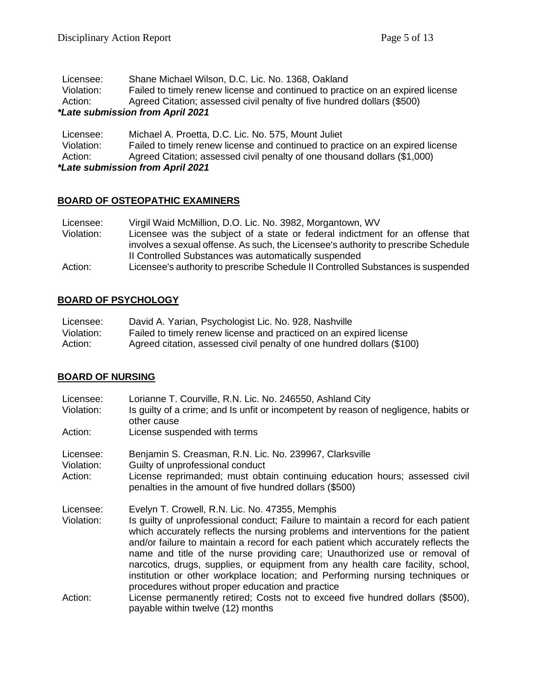| *Late submission from April 2021 |                                                                                |
|----------------------------------|--------------------------------------------------------------------------------|
| Action:                          | Agreed Citation; assessed civil penalty of five hundred dollars (\$500)        |
| Violation:                       | Failed to timely renew license and continued to practice on an expired license |
| Licensee:                        | Shane Michael Wilson, D.C. Lic. No. 1368, Oakland                              |

| Licensee:                        | Michael A. Proetta, D.C. Lic. No. 575, Mount Juliet                            |
|----------------------------------|--------------------------------------------------------------------------------|
| Violation:                       | Failed to timely renew license and continued to practice on an expired license |
| Action:                          | Agreed Citation; assessed civil penalty of one thousand dollars (\$1,000)      |
| *Late submission from April 2021 |                                                                                |

### **BOARD OF OSTEOPATHIC EXAMINERS**

| Licensee:  | Virgil Waid McMillion, D.O. Lic. No. 3982, Morgantown, WV                          |
|------------|------------------------------------------------------------------------------------|
| Violation: | Licensee was the subject of a state or federal indictment for an offense that      |
|            | involves a sexual offense. As such, the Licensee's authority to prescribe Schedule |
|            | II Controlled Substances was automatically suspended                               |
| Action:    | Licensee's authority to prescribe Schedule II Controlled Substances is suspended   |

# **BOARD OF PSYCHOLOGY**

| Licensee:  | David A. Yarian, Psychologist Lic. No. 928, Nashville                  |
|------------|------------------------------------------------------------------------|
| Violation: | Failed to timely renew license and practiced on an expired license     |
| Action:    | Agreed citation, assessed civil penalty of one hundred dollars (\$100) |

# **BOARD OF NURSING**

| Licensee:<br>Violation: | Lorianne T. Courville, R.N. Lic. No. 246550, Ashland City<br>Is guilty of a crime; and Is unfit or incompetent by reason of negligence, habits or<br>other cause                                                                                                                                                                                                                                                                                                                                                                                                   |
|-------------------------|--------------------------------------------------------------------------------------------------------------------------------------------------------------------------------------------------------------------------------------------------------------------------------------------------------------------------------------------------------------------------------------------------------------------------------------------------------------------------------------------------------------------------------------------------------------------|
| Action:                 | License suspended with terms                                                                                                                                                                                                                                                                                                                                                                                                                                                                                                                                       |
| Licensee:<br>Violation: | Benjamin S. Creasman, R.N. Lic. No. 239967, Clarksville<br>Guilty of unprofessional conduct                                                                                                                                                                                                                                                                                                                                                                                                                                                                        |
| Action:                 | License reprimanded; must obtain continuing education hours; assessed civil<br>penalties in the amount of five hundred dollars (\$500)                                                                                                                                                                                                                                                                                                                                                                                                                             |
| Licensee:               | Evelyn T. Crowell, R.N. Lic. No. 47355, Memphis                                                                                                                                                                                                                                                                                                                                                                                                                                                                                                                    |
| Violation:              | Is quilty of unprofessional conduct; Failure to maintain a record for each patient<br>which accurately reflects the nursing problems and interventions for the patient<br>and/or failure to maintain a record for each patient which accurately reflects the<br>name and title of the nurse providing care; Unauthorized use or removal of<br>narcotics, drugs, supplies, or equipment from any health care facility, school,<br>institution or other workplace location; and Performing nursing techniques or<br>procedures without proper education and practice |
| Action:                 | License permanently retired; Costs not to exceed five hundred dollars (\$500),<br>payable within twelve (12) months                                                                                                                                                                                                                                                                                                                                                                                                                                                |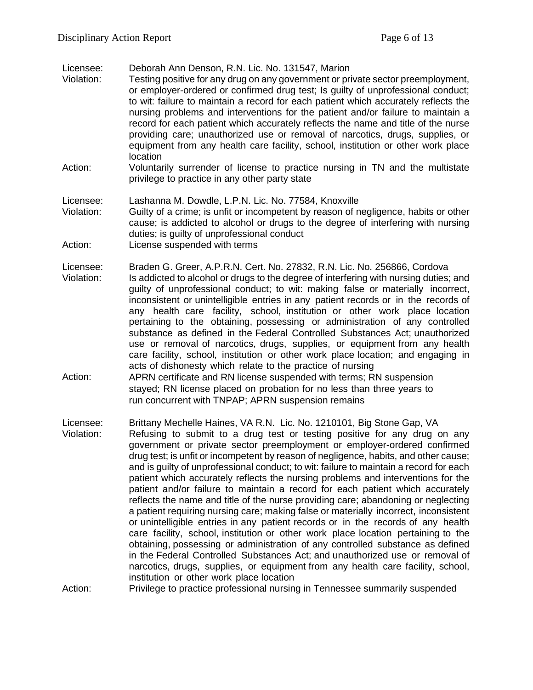Licensee: Deborah Ann Denson, R.N. Lic. No. 131547, Marion

- Violation: Testing positive for any drug on any government or private sector preemployment, or employer-ordered or confirmed drug test; Is guilty of unprofessional conduct; to wit: failure to maintain a record for each patient which accurately reflects the nursing problems and interventions for the patient and/or failure to maintain a record for each patient which accurately reflects the name and title of the nurse providing care; unauthorized use or removal of narcotics, drugs, supplies, or equipment from any health care facility, school, institution or other work place location
- Action: Voluntarily surrender of license to practice nursing in TN and the multistate privilege to practice in any other party state

Licensee: Lashanna M. Dowdle, L.P.N. Lic. No. 77584, Knoxville

Violation: Guilty of a crime; is unfit or incompetent by reason of negligence, habits or other cause; is addicted to alcohol or drugs to the degree of interfering with nursing duties; is guilty of unprofessional conduct

Action: License suspended with terms

Licensee: Braden G. Greer, A.P.R.N. Cert. No. 27832, R.N. Lic. No. 256866, Cordova

- Violation: Is addicted to alcohol or drugs to the degree of interfering with nursing duties; and guilty of unprofessional conduct; to wit: making false or materially incorrect, inconsistent or unintelligible entries in any patient records or in the records of any health care facility, school, institution or other work place location pertaining to the obtaining, possessing or administration of any controlled substance as defined in the Federal Controlled Substances Act; unauthorized use or removal of narcotics, drugs, supplies, or equipment from any health care facility, school, institution or other work place location; and engaging in acts of dishonesty which relate to the practice of nursing
- Action: APRN certificate and RN license suspended with terms; RN suspension stayed; RN license placed on probation for no less than three years to run concurrent with TNPAP; APRN suspension remains
- Licensee: Brittany Mechelle Haines, VA R.N. Lic. No. 1210101, Big Stone Gap, VA Violation: Refusing to submit to a drug test or testing positive for any drug on any government or private sector preemployment or employer-ordered confirmed drug test; is unfit or incompetent by reason of negligence, habits, and other cause; and is guilty of unprofessional conduct; to wit: failure to maintain a record for each patient which accurately reflects the nursing problems and interventions for the patient and/or failure to maintain a record for each patient which accurately reflects the name and title of the nurse providing care; abandoning or neglecting a patient requiring nursing care; making false or materially incorrect, inconsistent or unintelligible entries in any patient records or in the records of any health care facility, school, institution or other work place location pertaining to the obtaining, possessing or administration of any controlled substance as defined in the Federal Controlled Substances Act; and unauthorized use or removal of narcotics, drugs, supplies, or equipment from any health care facility, school, institution or other work place location

Action: Privilege to practice professional nursing in Tennessee summarily suspended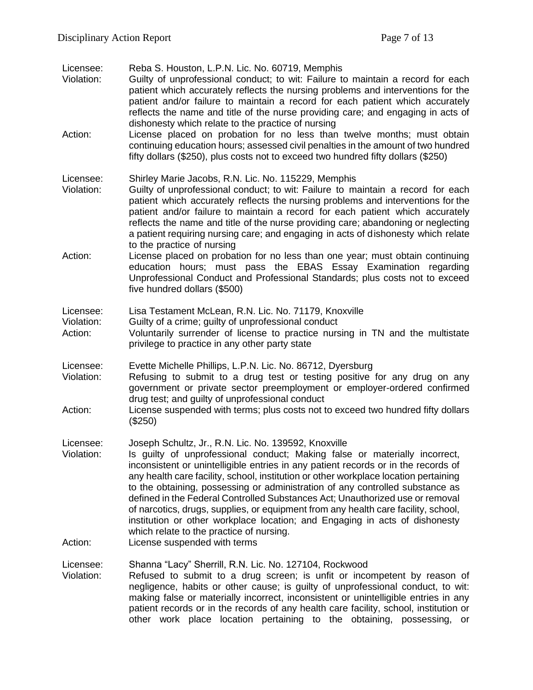Licensee: Reba S. Houston, L.P.N. Lic. No. 60719, Memphis

- Violation: Guilty of unprofessional conduct; to wit: Failure to maintain a record for each patient which accurately reflects the nursing problems and interventions for the patient and/or failure to maintain a record for each patient which accurately reflects the name and title of the nurse providing care; and engaging in acts of dishonesty which relate to the practice of nursing
- Action: License placed on probation for no less than twelve months; must obtain continuing education hours; assessed civil penalties in the amount of two hundred fifty dollars (\$250), plus costs not to exceed two hundred fifty dollars (\$250)

Licensee: Shirley Marie Jacobs, R.N. Lic. No. 115229, Memphis

- Violation: Guilty of unprofessional conduct; to wit: Failure to maintain a record for each patient which accurately reflects the nursing problems and interventions for the patient and/or failure to maintain a record for each patient which accurately reflects the name and title of the nurse providing care; abandoning or neglecting a patient requiring nursing care; and engaging in acts of dishonesty which relate to the practice of nursing
- Action: License placed on probation for no less than one year; must obtain continuing education hours; must pass the EBAS Essay Examination regarding Unprofessional Conduct and Professional Standards; plus costs not to exceed five hundred dollars (\$500)
- Licensee: Lisa Testament McLean, R.N. Lic. No. 71179, Knoxville
- Violation: Guilty of a crime; guilty of unprofessional conduct
- Action: Voluntarily surrender of license to practice nursing in TN and the multistate privilege to practice in any other party state
- Licensee: Evette Michelle Phillips, L.P.N. Lic. No. 86712, Dyersburg
- Violation: Refusing to submit to a drug test or testing positive for any drug on any government or private sector preemployment or employer-ordered confirmed drug test; and guilty of unprofessional conduct
- Action: License suspended with terms; plus costs not to exceed two hundred fifty dollars (\$250)
- Licensee: Joseph Schultz, Jr., R.N. Lic. No. 139592, Knoxville
- Violation: Is guilty of unprofessional conduct; Making false or materially incorrect, inconsistent or unintelligible entries in any patient records or in the records of any health care facility, school, institution or other workplace location pertaining to the obtaining, possessing or administration of any controlled substance as defined in the Federal Controlled Substances Act; Unauthorized use or removal of narcotics, drugs, supplies, or equipment from any health care facility, school, institution or other workplace location; and Engaging in acts of dishonesty which relate to the practice of nursing.
- Action: License suspended with terms

Licensee: Shanna "Lacy" Sherrill, R.N. Lic. No. 127104, Rockwood

Violation: Refused to submit to a drug screen; is unfit or incompetent by reason of negligence, habits or other cause; is guilty of unprofessional conduct, to wit: making false or materially incorrect, inconsistent or unintelligible entries in any patient records or in the records of any health care facility, school, institution or other work place location pertaining to the obtaining, possessing, or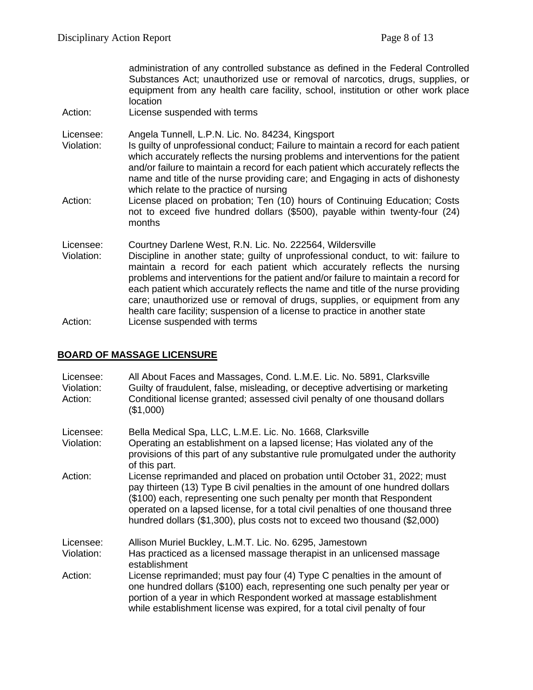administration of any controlled substance as defined in the Federal Controlled Substances Act; unauthorized use or removal of narcotics, drugs, supplies, or equipment from any health care facility, school, institution or other work place location

Action: License suspended with terms

Licensee: Angela Tunnell, L.P.N. Lic. No. 84234, Kingsport

- Violation: Is guilty of unprofessional conduct; Failure to maintain a record for each patient which accurately reflects the nursing problems and interventions for the patient and/or failure to maintain a record for each patient which accurately reflects the name and title of the nurse providing care; and Engaging in acts of dishonesty which relate to the practice of nursing
- Action: License placed on probation; Ten (10) hours of Continuing Education; Costs not to exceed five hundred dollars (\$500), payable within twenty-four (24) months

Licensee: Courtney Darlene West, R.N. Lic. No. 222564, Wildersville

Violation: Discipline in another state; guilty of unprofessional conduct, to wit: failure to maintain a record for each patient which accurately reflects the nursing problems and interventions for the patient and/or failure to maintain a record for each patient which accurately reflects the name and title of the nurse providing care; unauthorized use or removal of drugs, supplies, or equipment from any health care facility; suspension of a license to practice in another state Action: License suspended with terms

### **BOARD OF MASSAGE LICENSURE**

| Licensee:<br>Violation:<br>Action: | All About Faces and Massages, Cond. L.M.E. Lic. No. 5891, Clarksville<br>Guilty of fraudulent, false, misleading, or deceptive advertising or marketing<br>Conditional license granted; assessed civil penalty of one thousand dollars<br>(\$1,000)                                                                                                                                                 |
|------------------------------------|-----------------------------------------------------------------------------------------------------------------------------------------------------------------------------------------------------------------------------------------------------------------------------------------------------------------------------------------------------------------------------------------------------|
| Licensee:<br>Violation:            | Bella Medical Spa, LLC, L.M.E. Lic. No. 1668, Clarksville<br>Operating an establishment on a lapsed license; Has violated any of the<br>provisions of this part of any substantive rule promulgated under the authority<br>of this part.                                                                                                                                                            |
| Action:                            | License reprimanded and placed on probation until October 31, 2022; must<br>pay thirteen (13) Type B civil penalties in the amount of one hundred dollars<br>(\$100) each, representing one such penalty per month that Respondent<br>operated on a lapsed license, for a total civil penalties of one thousand three<br>hundred dollars (\$1,300), plus costs not to exceed two thousand (\$2,000) |
| Licensee:                          | Allison Muriel Buckley, L.M.T. Lic. No. 6295, Jamestown                                                                                                                                                                                                                                                                                                                                             |
| Violation:                         | Has practiced as a licensed massage therapist in an unlicensed massage<br>establishment                                                                                                                                                                                                                                                                                                             |
| Action:                            | License reprimanded; must pay four (4) Type C penalties in the amount of<br>one hundred dollars (\$100) each, representing one such penalty per year or<br>portion of a year in which Respondent worked at massage establishment<br>while establishment license was expired, for a total civil penalty of four                                                                                      |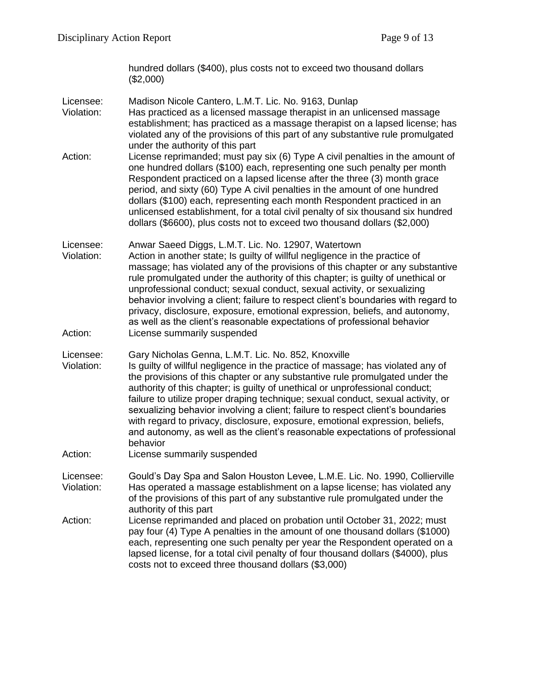hundred dollars (\$400), plus costs not to exceed two thousand dollars (\$2,000)

Licensee: Madison Nicole Cantero, L.M.T. Lic. No. 9163, Dunlap

Violation: Has practiced as a licensed massage therapist in an unlicensed massage establishment; has practiced as a massage therapist on a lapsed license; has violated any of the provisions of this part of any substantive rule promulgated under the authority of this part

Action: License reprimanded; must pay six (6) Type A civil penalties in the amount of one hundred dollars (\$100) each, representing one such penalty per month Respondent practiced on a lapsed license after the three (3) month grace period, and sixty (60) Type A civil penalties in the amount of one hundred dollars (\$100) each, representing each month Respondent practiced in an unlicensed establishment, for a total civil penalty of six thousand six hundred dollars (\$6600), plus costs not to exceed two thousand dollars (\$2,000)

Licensee: Anwar Saeed Diggs, L.M.T. Lic. No. 12907, Watertown

Violation: Action in another state; Is guilty of willful negligence in the practice of massage; has violated any of the provisions of this chapter or any substantive rule promulgated under the authority of this chapter; is guilty of unethical or unprofessional conduct; sexual conduct, sexual activity, or sexualizing behavior involving a client; failure to respect client's boundaries with regard to privacy, disclosure, exposure, emotional expression, beliefs, and autonomy, as well as the client's reasonable expectations of professional behavior Action: License summarily suspended

Licensee: Gary Nicholas Genna, L.M.T. Lic. No. 852, Knoxville

- Violation: Is guilty of willful negligence in the practice of massage; has violated any of the provisions of this chapter or any substantive rule promulgated under the authority of this chapter; is guilty of unethical or unprofessional conduct; failure to utilize proper draping technique; sexual conduct, sexual activity, or sexualizing behavior involving a client; failure to respect client's boundaries with regard to privacy, disclosure, exposure, emotional expression, beliefs, and autonomy, as well as the client's reasonable expectations of professional behavior
- Action: License summarily suspended

Licensee: Gould's Day Spa and Salon Houston Levee, L.M.E. Lic. No. 1990, Collierville Violation: Has operated a massage establishment on a lapse license; has violated any of the provisions of this part of any substantive rule promulgated under the authority of this part

Action: License reprimanded and placed on probation until October 31, 2022; must pay four (4) Type A penalties in the amount of one thousand dollars (\$1000) each, representing one such penalty per year the Respondent operated on a lapsed license, for a total civil penalty of four thousand dollars (\$4000), plus costs not to exceed three thousand dollars (\$3,000)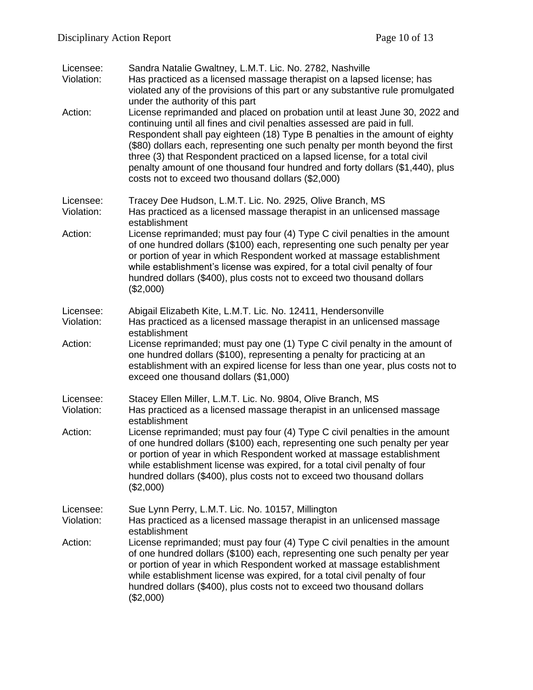| Licensee:<br>Violation: | Sandra Natalie Gwaltney, L.M.T. Lic. No. 2782, Nashville<br>Has practiced as a licensed massage therapist on a lapsed license; has<br>violated any of the provisions of this part or any substantive rule promulgated<br>under the authority of this part                                                                                                                                                                                                                                                                                      |
|-------------------------|------------------------------------------------------------------------------------------------------------------------------------------------------------------------------------------------------------------------------------------------------------------------------------------------------------------------------------------------------------------------------------------------------------------------------------------------------------------------------------------------------------------------------------------------|
| Action:                 | License reprimanded and placed on probation until at least June 30, 2022 and<br>continuing until all fines and civil penalties assessed are paid in full.<br>Respondent shall pay eighteen (18) Type B penalties in the amount of eighty<br>(\$80) dollars each, representing one such penalty per month beyond the first<br>three (3) that Respondent practiced on a lapsed license, for a total civil<br>penalty amount of one thousand four hundred and forty dollars (\$1,440), plus<br>costs not to exceed two thousand dollars (\$2,000) |
| Licensee:<br>Violation: | Tracey Dee Hudson, L.M.T. Lic. No. 2925, Olive Branch, MS<br>Has practiced as a licensed massage therapist in an unlicensed massage<br>establishment                                                                                                                                                                                                                                                                                                                                                                                           |
| Action:                 | License reprimanded; must pay four (4) Type C civil penalties in the amount<br>of one hundred dollars (\$100) each, representing one such penalty per year<br>or portion of year in which Respondent worked at massage establishment<br>while establishment's license was expired, for a total civil penalty of four<br>hundred dollars (\$400), plus costs not to exceed two thousand dollars<br>(\$2,000)                                                                                                                                    |
| Licensee:<br>Violation: | Abigail Elizabeth Kite, L.M.T. Lic. No. 12411, Hendersonville<br>Has practiced as a licensed massage therapist in an unlicensed massage                                                                                                                                                                                                                                                                                                                                                                                                        |
| Action:                 | establishment<br>License reprimanded; must pay one (1) Type C civil penalty in the amount of<br>one hundred dollars (\$100), representing a penalty for practicing at an<br>establishment with an expired license for less than one year, plus costs not to<br>exceed one thousand dollars (\$1,000)                                                                                                                                                                                                                                           |
| Licensee:<br>Violation: | Stacey Ellen Miller, L.M.T. Lic. No. 9804, Olive Branch, MS<br>Has practiced as a licensed massage therapist in an unlicensed massage<br>establishment                                                                                                                                                                                                                                                                                                                                                                                         |
| Action:                 | License reprimanded; must pay four (4) Type C civil penalties in the amount<br>of one hundred dollars (\$100) each, representing one such penalty per year<br>or portion of year in which Respondent worked at massage establishment<br>while establishment license was expired, for a total civil penalty of four<br>hundred dollars (\$400), plus costs not to exceed two thousand dollars<br>(\$2,000)                                                                                                                                      |
| Licensee:<br>Violation: | Sue Lynn Perry, L.M.T. Lic. No. 10157, Millington<br>Has practiced as a licensed massage therapist in an unlicensed massage<br>establishment                                                                                                                                                                                                                                                                                                                                                                                                   |
| Action:                 | License reprimanded; must pay four (4) Type C civil penalties in the amount<br>of one hundred dollars (\$100) each, representing one such penalty per year<br>or portion of year in which Respondent worked at massage establishment<br>while establishment license was expired, for a total civil penalty of four<br>hundred dollars (\$400), plus costs not to exceed two thousand dollars<br>(\$2,000)                                                                                                                                      |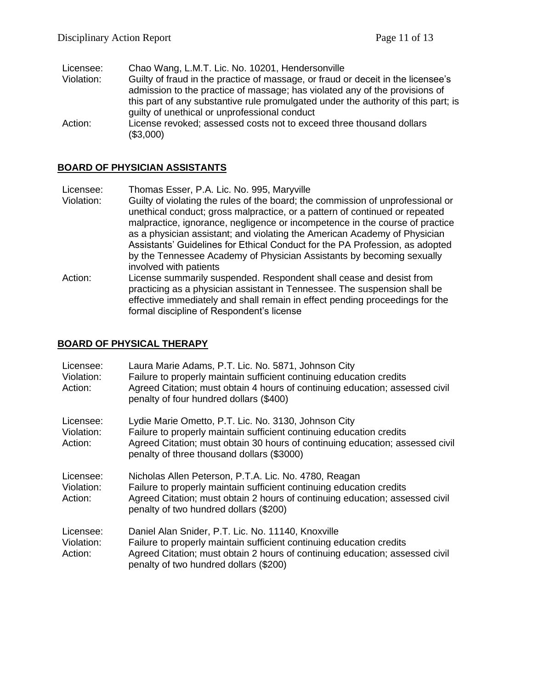| Licensee:  | Chao Wang, L.M.T. Lic. No. 10201, Hendersonville                                   |
|------------|------------------------------------------------------------------------------------|
| Violation: | Guilty of fraud in the practice of massage, or fraud or deceit in the licensee's   |
|            | admission to the practice of massage; has violated any of the provisions of        |
|            | this part of any substantive rule promulgated under the authority of this part; is |
|            | guilty of unethical or unprofessional conduct                                      |
| Action:    | License revoked; assessed costs not to exceed three thousand dollars               |
|            | (\$3,000)                                                                          |

### **BOARD OF PHYSICIAN ASSISTANTS**

Licensee: Thomas Esser, P.A. Lic. No. 995, Maryville

- Violation: Guilty of violating the rules of the board; the commission of unprofessional or unethical conduct; gross malpractice, or a pattern of continued or repeated malpractice, ignorance, negligence or incompetence in the course of practice as a physician assistant; and violating the American Academy of Physician Assistants' Guidelines for Ethical Conduct for the PA Profession, as adopted by the Tennessee Academy of Physician Assistants by becoming sexually involved with patients
- Action: License summarily suspended. Respondent shall cease and desist from practicing as a physician assistant in Tennessee. The suspension shall be effective immediately and shall remain in effect pending proceedings for the formal discipline of Respondent's license

#### **BOARD OF PHYSICAL THERAPY**

| Licensee:<br>Violation:<br>Action: | Laura Marie Adams, P.T. Lic. No. 5871, Johnson City<br>Failure to properly maintain sufficient continuing education credits<br>Agreed Citation; must obtain 4 hours of continuing education; assessed civil<br>penalty of four hundred dollars (\$400)      |
|------------------------------------|-------------------------------------------------------------------------------------------------------------------------------------------------------------------------------------------------------------------------------------------------------------|
| Licensee:<br>Violation:<br>Action: | Lydie Marie Ometto, P.T. Lic. No. 3130, Johnson City<br>Failure to properly maintain sufficient continuing education credits<br>Agreed Citation; must obtain 30 hours of continuing education; assessed civil<br>penalty of three thousand dollars (\$3000) |
| Licensee:<br>Violation:<br>Action: | Nicholas Allen Peterson, P.T.A. Lic. No. 4780, Reagan<br>Failure to properly maintain sufficient continuing education credits<br>Agreed Citation; must obtain 2 hours of continuing education; assessed civil<br>penalty of two hundred dollars (\$200)     |
| Licensee:<br>Violation:<br>Action: | Daniel Alan Snider, P.T. Lic. No. 11140, Knoxville<br>Failure to properly maintain sufficient continuing education credits<br>Agreed Citation; must obtain 2 hours of continuing education; assessed civil<br>penalty of two hundred dollars (\$200)        |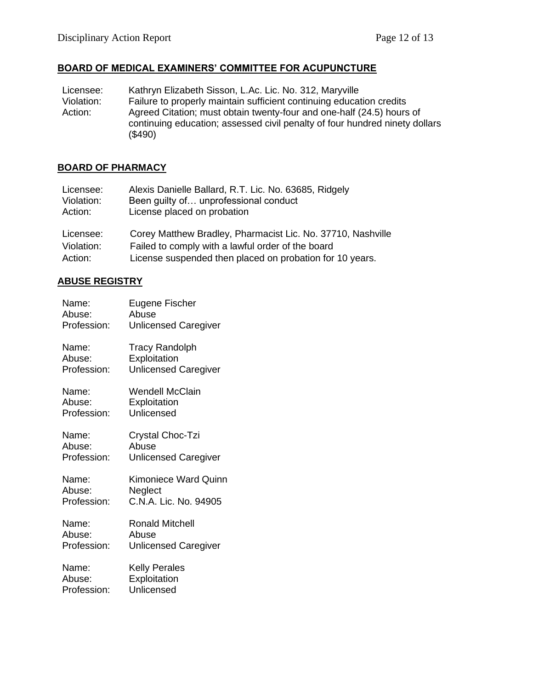# **BOARD OF MEDICAL EXAMINERS' COMMITTEE FOR ACUPUNCTURE**

| Licensee:  | Kathryn Elizabeth Sisson, L.Ac. Lic. No. 312, Maryville                     |
|------------|-----------------------------------------------------------------------------|
| Violation: | Failure to properly maintain sufficient continuing education credits        |
| Action:    | Agreed Citation; must obtain twenty-four and one-half (24.5) hours of       |
|            | continuing education; assessed civil penalty of four hundred ninety dollars |
|            | (\$490)                                                                     |

# **BOARD OF PHARMACY**

| Licensee:  | Alexis Danielle Ballard, R.T. Lic. No. 63685, Ridgely       |
|------------|-------------------------------------------------------------|
| Violation: | Been guilty of unprofessional conduct                       |
| Action:    | License placed on probation                                 |
| Licensee:  | Corey Matthew Bradley, Pharmacist Lic. No. 37710, Nashville |
| Violation: | Failed to comply with a lawful order of the board           |
| Action:    | License suspended then placed on probation for 10 years.    |

# **ABUSE REGISTRY**

| Name:       | Eugene Fischer              |
|-------------|-----------------------------|
| Abuse:      | Abuse                       |
| Profession: | <b>Unlicensed Caregiver</b> |
| Name:       | <b>Tracy Randolph</b>       |
| Abuse:      | Exploitation                |
| Profession: | <b>Unlicensed Caregiver</b> |
| Name:       | Wendell McClain             |
| Abuse:      | Exploitation                |
| Profession: | Unlicensed                  |
| Name:       | Crystal Choc-Tzi            |
| Abuse:      | Abuse                       |
| Profession: | <b>Unlicensed Caregiver</b> |
| Name:       | Kimoniece Ward Quinn        |
| Abuse:      | Neglect                     |
| Profession: | C.N.A. Lic. No. 94905       |
| Name:       | Ronald Mitchell             |
| Abuse:      | Abuse                       |
| Profession: | <b>Unlicensed Caregiver</b> |
| Name:       | <b>Kelly Perales</b>        |
| Abuse:      | Exploitation                |
| Profession: | Unlicensed                  |